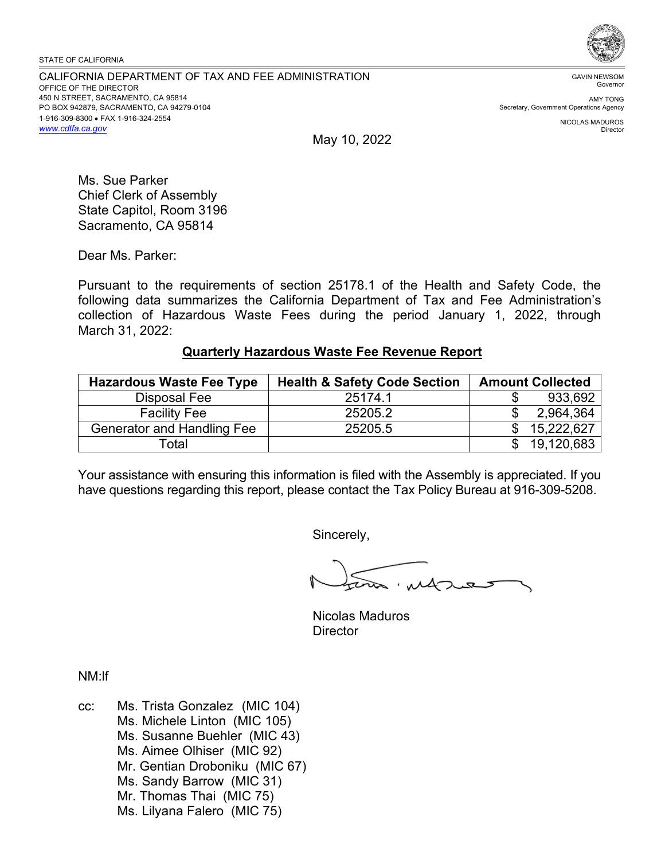STATE OF CALIFORNIA

CALIFORNIA DEPARTMENT OF TAX AND FEE ADMINISTRATION OFFICE OF THE DIRECTOR 450 N STREET, SACRAMENTO, CA 95814 PO BOX 942879, SACRAMENTO, CA 94279-0104 1-916-309-8300 • FAX 1-916-324-2554 *<www.cdtfa.ca.gov>*



GAVIN NEWSOM Governor

AMY TONG Secretary, Government Operations Agency

> NICOLAS MADUROS Director

May 10, 2022

Ms. Sue Parker Chief Clerk of Assembly State Capitol, Room 3196 Sacramento, CA 95814

Dear Ms. Parker:

Pursuant to the requirements of section 25178.1 of the Health and Safety Code, the following data summarizes the California Department of Tax and Fee Administration's collection of Hazardous Waste Fees during the period January 1, 2022, through March 31, 2022:

## **Quarterly Hazardous Waste Fee Revenue Report**

| <b>Hazardous Waste Fee Type</b>   | <b>Health &amp; Safety Code Section</b> | <b>Amount Collected</b> |
|-----------------------------------|-----------------------------------------|-------------------------|
| Disposal Fee                      | 25174.1                                 | 933,692                 |
| <b>Facility Fee</b>               | 25205.2                                 | 2,964,364               |
| <b>Generator and Handling Fee</b> | 25205.5                                 | 15,222,627              |
| Total                             |                                         | 19,120,683              |

Your assistance with ensuring this information is filed with the Assembly is appreciated. If you have questions regarding this report, please contact the Tax Policy Bureau at 916-309-5208.

Sincerely,

w. at

Nicolas Maduros **Director** 

NM:lf

cc: Ms. Trista Gonzalez (MIC 104) Ms. Michele Linton (MIC 105) Ms. Susanne Buehler (MIC 43) Ms. Aimee Olhiser (MIC 92) Mr. Gentian Droboniku (MIC 67) Ms. Sandy Barrow (MIC 31) Mr. Thomas Thai (MIC 75) Ms. Lilyana Falero (MIC 75)